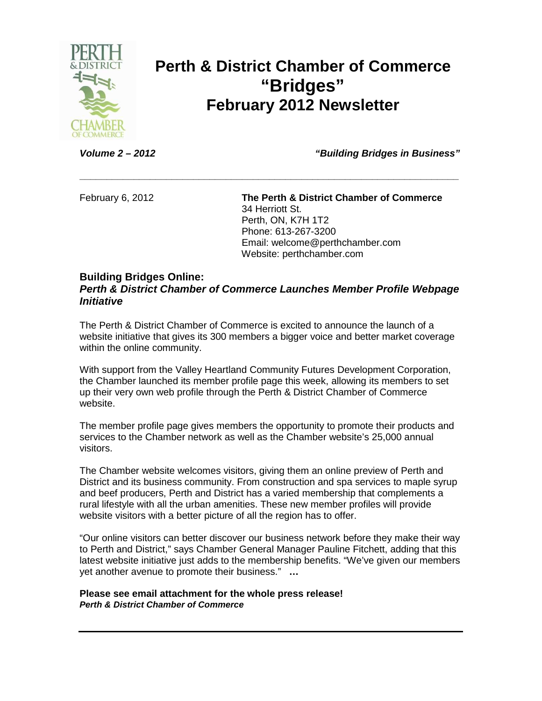

## **Perth & District Chamber of Commerce "Bridges" February 2012 Newsletter**

**Volume 2 – 2012 "Building Bridges in Business"** 

February 6, 2012 **The Perth & District Chamber of Commerce**  34 Herriott St. Perth, ON, K7H 1T2 Phone: 613-267-3200 Email: welcome@perthchamber.com Website: perthchamber.com

### **Building Bridges Online:**

### **Perth & District Chamber of Commerce Launches Member Profile Webpage Initiative**

**\_\_\_\_\_\_\_\_\_\_\_\_\_\_\_\_\_\_\_\_\_\_\_\_\_\_\_\_\_\_\_\_\_\_\_\_\_\_\_\_\_\_\_\_\_\_\_\_\_\_\_\_\_\_\_\_\_\_\_\_\_\_\_\_\_\_\_\_\_\_** 

The Perth & District Chamber of Commerce is excited to announce the launch of a website initiative that gives its 300 members a bigger voice and better market coverage within the online community.

With support from the Valley Heartland Community Futures Development Corporation, the Chamber launched its member profile page this week, allowing its members to set up their very own web profile through the Perth & District Chamber of Commerce website.

The member profile page gives members the opportunity to promote their products and services to the Chamber network as well as the Chamber website's 25,000 annual visitors.

The Chamber website welcomes visitors, giving them an online preview of Perth and District and its business community. From construction and spa services to maple syrup and beef producers, Perth and District has a varied membership that complements a rural lifestyle with all the urban amenities. These new member profiles will provide website visitors with a better picture of all the region has to offer.

"Our online visitors can better discover our business network before they make their way to Perth and District," says Chamber General Manager Pauline Fitchett, adding that this latest website initiative just adds to the membership benefits. "We've given our members yet another avenue to promote their business." **…**

#### **Please see email attachment for the whole press release! Perth & District Chamber of Commerce**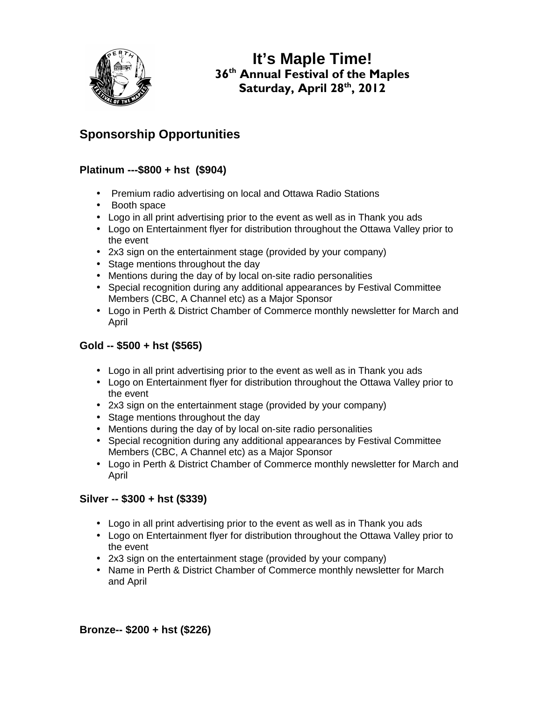

**It's Maple Time!**  36<sup>th</sup> Annual Festival of the Maples Saturday, April 28th, 2012

## **Sponsorship Opportunities**

### **Platinum ---\$800 + hst (\$904)**

- Premium radio advertising on local and Ottawa Radio Stations
- Booth space
- Logo in all print advertising prior to the event as well as in Thank you ads
- Logo on Entertainment flyer for distribution throughout the Ottawa Valley prior to the event
- 2x3 sign on the entertainment stage (provided by your company)
- Stage mentions throughout the day
- Mentions during the day of by local on-site radio personalities
- Special recognition during any additional appearances by Festival Committee Members (CBC, A Channel etc) as a Major Sponsor
- Logo in Perth & District Chamber of Commerce monthly newsletter for March and April

### **Gold -- \$500 + hst (\$565)**

- Logo in all print advertising prior to the event as well as in Thank you ads
- Logo on Entertainment flyer for distribution throughout the Ottawa Valley prior to the event
- 2x3 sign on the entertainment stage (provided by your company)
- Stage mentions throughout the day
- Mentions during the day of by local on-site radio personalities
- Special recognition during any additional appearances by Festival Committee Members (CBC, A Channel etc) as a Major Sponsor
- Logo in Perth & District Chamber of Commerce monthly newsletter for March and April

### **Silver -- \$300 + hst (\$339)**

- Logo in all print advertising prior to the event as well as in Thank you ads
- Logo on Entertainment flyer for distribution throughout the Ottawa Valley prior to the event
- 2x3 sign on the entertainment stage (provided by your company)
- Name in Perth & District Chamber of Commerce monthly newsletter for March and April

**Bronze-- \$200 + hst (\$226)**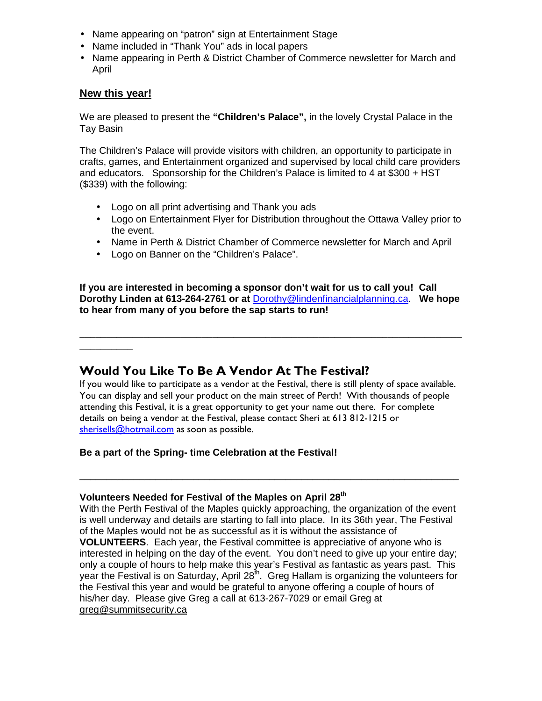- Name appearing on "patron" sign at Entertainment Stage
- Name included in "Thank You" ads in local papers
- Name appearing in Perth & District Chamber of Commerce newsletter for March and April

### **New this year!**

 $\overline{\phantom{a}}$ 

We are pleased to present the **"Children's Palace",** in the lovely Crystal Palace in the Tay Basin

The Children's Palace will provide visitors with children, an opportunity to participate in crafts, games, and Entertainment organized and supervised by local child care providers and educators. Sponsorship for the Children's Palace is limited to 4 at \$300 + HST (\$339) with the following:

- Logo on all print advertising and Thank you ads
- Logo on Entertainment Flyer for Distribution throughout the Ottawa Valley prior to the event.
- Name in Perth & District Chamber of Commerce newsletter for March and April
- Logo on Banner on the "Children's Palace".

**If you are interested in becoming a sponsor don't wait for us to call you! Call Dorothy Linden at 613-264-2761 or at** Dorothy@lindenfinancialplanning.ca. **We hope to hear from many of you before the sap starts to run!** 

\_\_\_\_\_\_\_\_\_\_\_\_\_\_\_\_\_\_\_\_\_\_\_\_\_\_\_\_\_\_\_\_\_\_\_\_\_\_\_\_\_\_\_\_\_\_\_\_\_\_\_\_\_\_\_\_\_\_\_\_\_\_\_\_\_\_\_\_\_\_\_\_

## Would You Like To Be A Vendor At The Festival?

If you would like to participate as a vendor at the Festival, there is still plenty of space available. You can display and sell your product on the main street of Perth! With thousands of people attending this Festival, it is a great opportunity to get your name out there. For complete details on being a vendor at the Festival, please contact Sheri at 613 812-1215 or sherisells@hotmail.com as soon as possible.

\_\_\_\_\_\_\_\_\_\_\_\_\_\_\_\_\_\_\_\_\_\_\_\_\_\_\_\_\_\_\_\_\_\_\_\_\_\_\_\_\_\_\_\_\_\_\_\_\_\_\_\_\_\_\_\_\_\_\_\_\_\_\_\_\_\_\_\_\_\_

### **Be a part of the Spring- time Celebration at the Festival!**

#### **Volunteers Needed for Festival of the Maples on April 28th**

With the Perth Festival of the Maples quickly approaching, the organization of the event is well underway and details are starting to fall into place. In its 36th year, The Festival of the Maples would not be as successful as it is without the assistance of **VOLUNTEERS**. Each year, the Festival committee is appreciative of anyone who is interested in helping on the day of the event. You don't need to give up your entire day; only a couple of hours to help make this year's Festival as fantastic as years past. This year the Festival is on Saturday, April  $28<sup>th</sup>$ . Greg Hallam is organizing the volunteers for the Festival this year and would be grateful to anyone offering a couple of hours of his/her day. Please give Greg a call at 613-267-7029 or email Greg at areg@summitsecurity.ca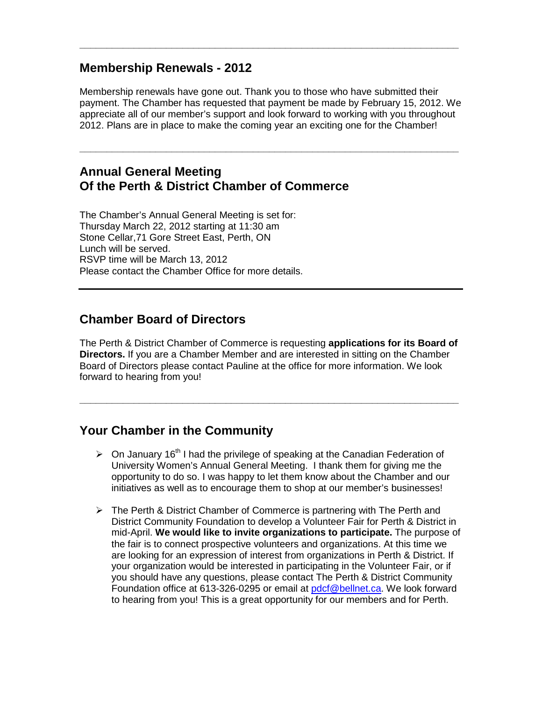### **Membership Renewals - 2012**

Membership renewals have gone out. Thank you to those who have submitted their payment. The Chamber has requested that payment be made by February 15, 2012. We appreciate all of our member's support and look forward to working with you throughout 2012. Plans are in place to make the coming year an exciting one for the Chamber!

**\_\_\_\_\_\_\_\_\_\_\_\_\_\_\_\_\_\_\_\_\_\_\_\_\_\_\_\_\_\_\_\_\_\_\_\_\_\_\_\_\_\_\_\_\_\_\_\_\_\_\_\_\_\_\_\_\_\_\_\_\_\_\_\_\_\_\_\_\_\_** 

**\_\_\_\_\_\_\_\_\_\_\_\_\_\_\_\_\_\_\_\_\_\_\_\_\_\_\_\_\_\_\_\_\_\_\_\_\_\_\_\_\_\_\_\_\_\_\_\_\_\_\_\_\_\_\_\_\_\_\_\_\_\_\_\_\_\_\_\_\_\_** 

### **Annual General Meeting Of the Perth & District Chamber of Commerce**

The Chamber's Annual General Meeting is set for: Thursday March 22, 2012 starting at 11:30 am Stone Cellar,71 Gore Street East, Perth, ON Lunch will be served. RSVP time will be March 13, 2012 Please contact the Chamber Office for more details.

## **Chamber Board of Directors**

The Perth & District Chamber of Commerce is requesting **applications for its Board of Directors.** If you are a Chamber Member and are interested in sitting on the Chamber Board of Directors please contact Pauline at the office for more information. We look forward to hearing from you!

**\_\_\_\_\_\_\_\_\_\_\_\_\_\_\_\_\_\_\_\_\_\_\_\_\_\_\_\_\_\_\_\_\_\_\_\_\_\_\_\_\_\_\_\_\_\_\_\_\_\_\_\_\_\_\_\_\_\_\_\_\_\_\_\_\_\_\_\_\_\_** 

## **Your Chamber in the Community**

- $\triangleright$  On January 16<sup>th</sup> I had the privilege of speaking at the Canadian Federation of University Women's Annual General Meeting. I thank them for giving me the opportunity to do so. I was happy to let them know about the Chamber and our initiatives as well as to encourage them to shop at our member's businesses!
- > The Perth & District Chamber of Commerce is partnering with The Perth and District Community Foundation to develop a Volunteer Fair for Perth & District in mid-April. **We would like to invite organizations to participate.** The purpose of the fair is to connect prospective volunteers and organizations. At this time we are looking for an expression of interest from organizations in Perth & District. If your organization would be interested in participating in the Volunteer Fair, or if you should have any questions, please contact The Perth & District Community Foundation office at 613-326-0295 or email at pdcf@bellnet.ca. We look forward to hearing from you! This is a great opportunity for our members and for Perth.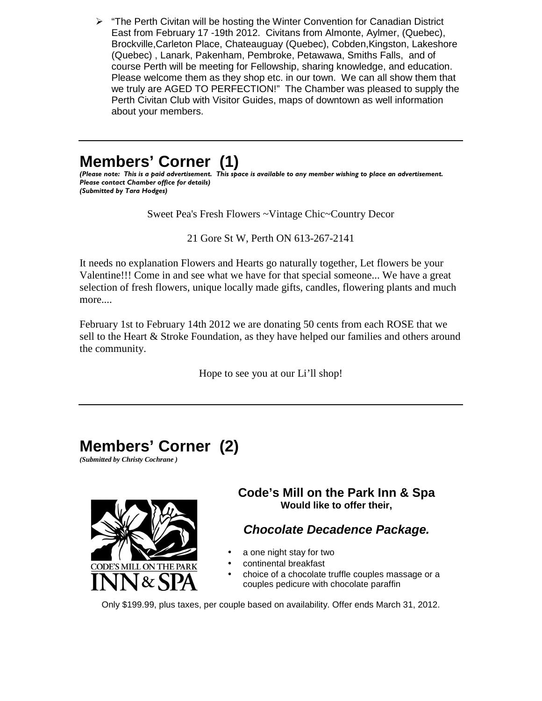$\triangleright$  "The Perth Civitan will be hosting the Winter Convention for Canadian District East from February 17 -19th 2012. Civitans from Almonte, Aylmer, (Quebec), Brockville,Carleton Place, Chateauguay (Quebec), Cobden,Kingston, Lakeshore (Quebec) , Lanark, Pakenham, Pembroke, Petawawa, Smiths Falls, and of course Perth will be meeting for Fellowship, sharing knowledge, and education. Please welcome them as they shop etc. in our town. We can all show them that we truly are AGED TO PERFECTION!" The Chamber was pleased to supply the Perth Civitan Club with Visitor Guides, maps of downtown as well information about your members.

## **Members' Corner (1)**

(Please note: This is a paid advertisement. This space is available to any member wishing to place an advertisement. Please contact Chamber office for details) (Submitted by Tara Hodges)

Sweet Pea's Fresh Flowers ~Vintage Chic~Country Decor

21 Gore St W, Perth ON 613-267-2141

It needs no explanation Flowers and Hearts go naturally together, Let flowers be your Valentine!!! Come in and see what we have for that special someone... We have a great selection of fresh flowers, unique locally made gifts, candles, flowering plants and much more....

February 1st to February 14th 2012 we are donating 50 cents from each ROSE that we sell to the Heart & Stroke Foundation, as they have helped our families and others around the community.

Hope to see you at our Li'll shop!

# **Members' Corner (2)**

*(Submitted by Christy Cochrane )* 



### **Code's Mill on the Park Inn & Spa Would like to offer their,**

## **Chocolate Decadence Package.**

- a one night stay for two
- continental breakfast
- choice of a chocolate truffle couples massage or a couples pedicure with chocolate paraffin

Only \$199.99, plus taxes, per couple based on availability. Offer ends March 31, 2012.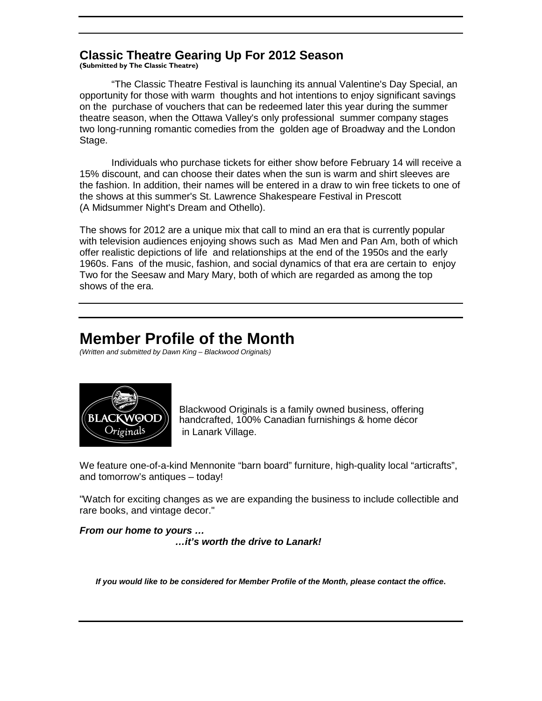## **Classic Theatre Gearing Up For 2012 Season**

(Submitted by The Classic Theatre)

"The Classic Theatre Festival is launching its annual Valentine's Day Special, an opportunity for those with warm thoughts and hot intentions to enjoy significant savings on the purchase of vouchers that can be redeemed later this year during the summer theatre season, when the Ottawa Valley's only professional summer company stages two long-running romantic comedies from the golden age of Broadway and the London Stage.

 Individuals who purchase tickets for either show before February 14 will receive a 15% discount, and can choose their dates when the sun is warm and shirt sleeves are the fashion. In addition, their names will be entered in a draw to win free tickets to one of the shows at this summer's St. Lawrence Shakespeare Festival in Prescott (A Midsummer Night's Dream and Othello).

The shows for 2012 are a unique mix that call to mind an era that is currently popular with television audiences enjoying shows such as Mad Men and Pan Am, both of which offer realistic depictions of life and relationships at the end of the 1950s and the early 1960s. Fans of the music, fashion, and social dynamics of that era are certain to enjoy Two for the Seesaw and Mary Mary, both of which are regarded as among the top shows of the era.

## **Member Profile of the Month**

(Written and submitted by Dawn King – Blackwood Originals)



Blackwood Originals is a family owned business, offering handcrafted, 100% Canadian furnishings & home décor in Lanark Village.

We feature one-of-a-kind Mennonite "barn board" furniture, high-quality local "articrafts", and tomorrow's antiques – today!

"Watch for exciting changes as we are expanding the business to include collectible and rare books, and vintage decor."

**From our home to yours … …it's worth the drive to Lanark!** 

**If you would like to be considered for Member Profile of the Month, please contact the office.**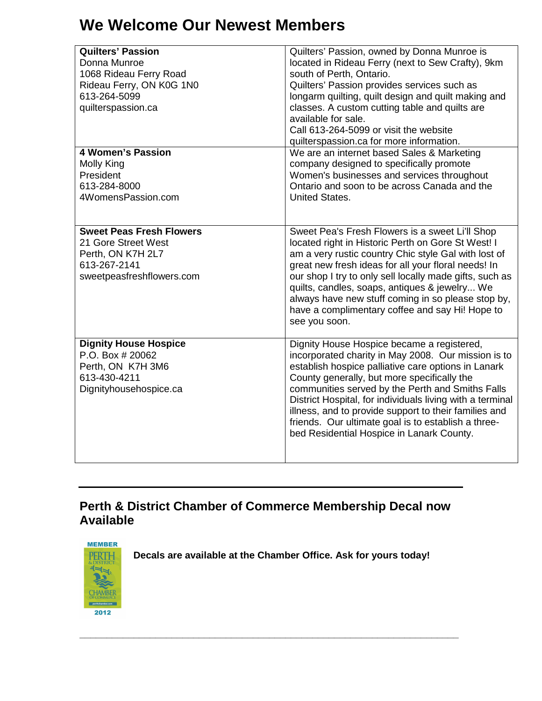# **We Welcome Our Newest Members**

| <b>Quilters' Passion</b><br>Donna Munroe<br>1068 Rideau Ferry Road<br>Rideau Ferry, ON K0G 1N0<br>613-264-5099<br>quilterspassion.ca | Quilters' Passion, owned by Donna Munroe is<br>located in Rideau Ferry (next to Sew Crafty), 9km<br>south of Perth, Ontario.<br>Quilters' Passion provides services such as<br>longarm quilting, quilt design and quilt making and<br>classes. A custom cutting table and quilts are<br>available for sale.<br>Call 613-264-5099 or visit the website<br>quilterspassion.ca for more information.                                                                                     |
|--------------------------------------------------------------------------------------------------------------------------------------|---------------------------------------------------------------------------------------------------------------------------------------------------------------------------------------------------------------------------------------------------------------------------------------------------------------------------------------------------------------------------------------------------------------------------------------------------------------------------------------|
| <b>4 Women's Passion</b><br>Molly King<br>President<br>613-284-8000<br>4WomensPassion.com                                            | We are an internet based Sales & Marketing<br>company designed to specifically promote<br>Women's businesses and services throughout<br>Ontario and soon to be across Canada and the<br><b>United States.</b>                                                                                                                                                                                                                                                                         |
| <b>Sweet Peas Fresh Flowers</b><br>21 Gore Street West<br>Perth, ON K7H 2L7<br>613-267-2141<br>sweetpeasfreshflowers.com             | Sweet Pea's Fresh Flowers is a sweet Li'll Shop<br>located right in Historic Perth on Gore St West! I<br>am a very rustic country Chic style Gal with lost of<br>great new fresh ideas for all your floral needs! In<br>our shop I try to only sell locally made gifts, such as<br>quilts, candles, soaps, antiques & jewelry We<br>always have new stuff coming in so please stop by,<br>have a complimentary coffee and say Hi! Hope to<br>see you soon.                            |
| <b>Dignity House Hospice</b><br>P.O. Box # 20062<br>Perth, ON K7H 3M6<br>613-430-4211<br>Dignityhousehospice.ca                      | Dignity House Hospice became a registered,<br>incorporated charity in May 2008. Our mission is to<br>establish hospice palliative care options in Lanark<br>County generally, but more specifically the<br>communities served by the Perth and Smiths Falls<br>District Hospital, for individuals living with a terminal<br>illness, and to provide support to their families and<br>friends. Our ultimate goal is to establish a three-<br>bed Residential Hospice in Lanark County. |

## **Perth & District Chamber of Commerce Membership Decal now Available**



**Decals are available at the Chamber Office. Ask for yours today!** 

**\_\_\_\_\_\_\_\_\_\_\_\_\_\_\_\_\_\_\_\_\_\_\_\_\_\_\_\_\_\_\_\_\_\_\_\_\_\_\_\_\_\_\_\_\_\_\_\_\_\_\_\_\_\_\_\_\_\_\_\_\_\_\_\_\_\_\_\_\_\_**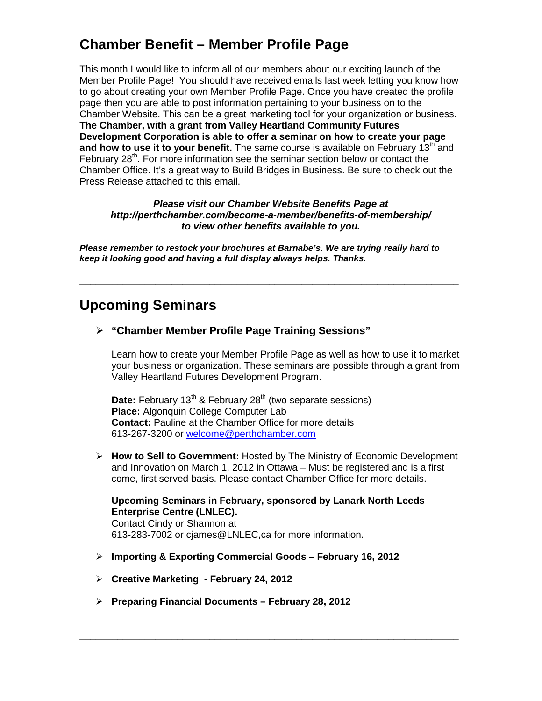## **Chamber Benefit – Member Profile Page**

This month I would like to inform all of our members about our exciting launch of the Member Profile Page! You should have received emails last week letting you know how to go about creating your own Member Profile Page. Once you have created the profile page then you are able to post information pertaining to your business on to the Chamber Website. This can be a great marketing tool for your organization or business. **The Chamber, with a grant from Valley Heartland Community Futures Development Corporation is able to offer a seminar on how to create your page and how to use it to your benefit.** The same course is available on February 13<sup>th</sup> and February  $28<sup>th</sup>$ . For more information see the seminar section below or contact the Chamber Office. It's a great way to Build Bridges in Business. Be sure to check out the Press Release attached to this email.

#### **Please visit our Chamber Website Benefits Page at http://perthchamber.com/become-a-member/benefits-of-membership/ to view other benefits available to you.**

**Please remember to restock your brochures at Barnabe's. We are trying really hard to keep it looking good and having a full display always helps. Thanks.** 

**\_\_\_\_\_\_\_\_\_\_\_\_\_\_\_\_\_\_\_\_\_\_\_\_\_\_\_\_\_\_\_\_\_\_\_\_\_\_\_\_\_\_\_\_\_\_\_\_\_\_\_\_\_\_\_\_\_\_\_\_\_\_\_\_\_\_\_\_\_\_** 

## **Upcoming Seminars**

**"Chamber Member Profile Page Training Sessions"** 

Learn how to create your Member Profile Page as well as how to use it to market your business or organization. These seminars are possible through a grant from Valley Heartland Futures Development Program.

**Date:** February 13<sup>th</sup> & February 28<sup>th</sup> (two separate sessions) **Place:** Algonquin College Computer Lab **Contact:** Pauline at the Chamber Office for more details 613-267-3200 or welcome@perthchamber.com

 **How to Sell to Government:** Hosted by The Ministry of Economic Development and Innovation on March 1, 2012 in Ottawa – Must be registered and is a first come, first served basis. Please contact Chamber Office for more details.

#### **Upcoming Seminars in February, sponsored by Lanark North Leeds Enterprise Centre (LNLEC).**  Contact Cindy or Shannon at

**\_\_\_\_\_\_\_\_\_\_\_\_\_\_\_\_\_\_\_\_\_\_\_\_\_\_\_\_\_\_\_\_\_\_\_\_\_\_\_\_\_\_\_\_\_\_\_\_\_\_\_\_\_\_\_\_\_\_\_\_\_\_\_\_\_\_\_\_\_\_** 

613-283-7002 or cjames@LNLEC,ca for more information.

- **Importing & Exporting Commercial Goods February 16, 2012**
- **Creative Marketing February 24, 2012**
- **Preparing Financial Documents February 28, 2012**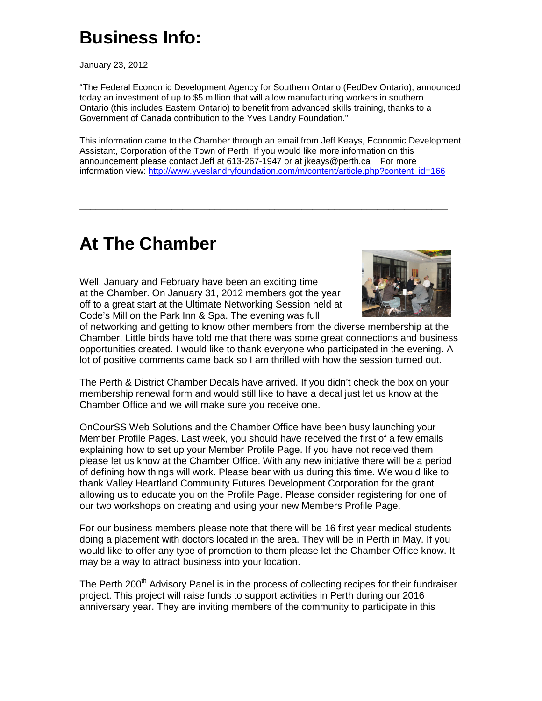# **Business Info:**

January 23, 2012

"The Federal Economic Development Agency for Southern Ontario (FedDev Ontario), announced today an investment of up to \$5 million that will allow manufacturing workers in southern Ontario (this includes Eastern Ontario) to benefit from advanced skills training, thanks to a Government of Canada contribution to the Yves Landry Foundation."

This information came to the Chamber through an email from Jeff Keays, Economic Development Assistant, Corporation of the Town of Perth. If you would like more information on this announcement please contact Jeff at 613-267-1947 or at jkeays@perth.ca For more information view: http://www.yveslandryfoundation.com/m/content/article.php?content\_id=166

**\_\_\_\_\_\_\_\_\_\_\_\_\_\_\_\_\_\_\_\_\_\_\_\_\_\_\_\_\_\_\_\_\_\_\_\_\_\_\_\_\_\_\_\_\_\_\_\_\_\_\_\_\_\_\_\_\_\_\_\_\_\_\_\_\_\_\_\_** 

# **At The Chamber**

Well, January and February have been an exciting time at the Chamber. On January 31, 2012 members got the year off to a great start at the Ultimate Networking Session held at Code's Mill on the Park Inn & Spa. The evening was full



of networking and getting to know other members from the diverse membership at the Chamber. Little birds have told me that there was some great connections and business opportunities created. I would like to thank everyone who participated in the evening. A lot of positive comments came back so I am thrilled with how the session turned out.

The Perth & District Chamber Decals have arrived. If you didn't check the box on your membership renewal form and would still like to have a decal just let us know at the Chamber Office and we will make sure you receive one.

OnCourSS Web Solutions and the Chamber Office have been busy launching your Member Profile Pages. Last week, you should have received the first of a few emails explaining how to set up your Member Profile Page. If you have not received them please let us know at the Chamber Office. With any new initiative there will be a period of defining how things will work. Please bear with us during this time. We would like to thank Valley Heartland Community Futures Development Corporation for the grant allowing us to educate you on the Profile Page. Please consider registering for one of our two workshops on creating and using your new Members Profile Page.

For our business members please note that there will be 16 first year medical students doing a placement with doctors located in the area. They will be in Perth in May. If you would like to offer any type of promotion to them please let the Chamber Office know. It may be a way to attract business into your location.

The Perth 200<sup>th</sup> Advisory Panel is in the process of collecting recipes for their fundraiser project. This project will raise funds to support activities in Perth during our 2016 anniversary year. They are inviting members of the community to participate in this